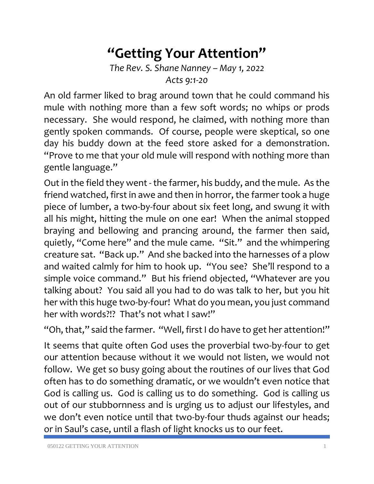## **"Getting Your Attention"**

*The Rev. S. Shane Nanney – May 1, 2022 Acts 9:1-20*

An old farmer liked to brag around town that he could command his mule with nothing more than a few soft words; no whips or prods necessary. She would respond, he claimed, with nothing more than gently spoken commands. Of course, people were skeptical, so one day his buddy down at the feed store asked for a demonstration. "Prove to me that your old mule will respond with nothing more than gentle language."

Out in the field they went - the farmer, his buddy, and the mule. As the friend watched, first in awe and then in horror, the farmer took a huge piece of lumber, a two-by-four about six feet long, and swung it with all his might, hitting the mule on one ear! When the animal stopped braying and bellowing and prancing around, the farmer then said, quietly, "Come here" and the mule came. "Sit." and the whimpering creature sat. "Back up." And she backed into the harnesses of a plow and waited calmly for him to hook up. "You see? She'll respond to a simple voice command." But his friend objected, "Whatever are you talking about? You said all you had to do was talk to her, but you hit her with this huge two-by-four! What do you mean, you just command her with words?!? That's not what I saw!"

"Oh, that," said the farmer. "Well, first I do have to get her attention!"

It seems that quite often God uses the proverbial two-by-four to get our attention because without it we would not listen, we would not follow. We get so busy going about the routines of our lives that God often has to do something dramatic, or we wouldn't even notice that God is calling us. God is calling us to do something. God is calling us out of our stubbornness and is urging us to adjust our lifestyles, and we don't even notice until that two-by-four thuds against our heads; or in Saul's case, until a flash of light knocks us to our feet.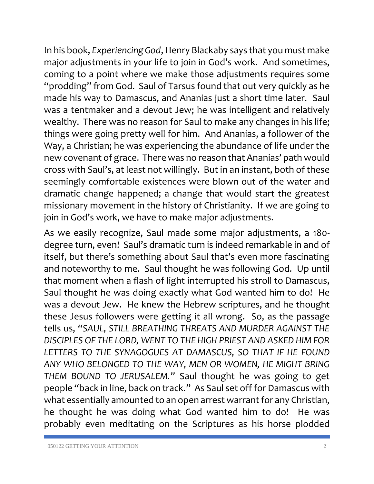In his book, *Experiencing God*, Henry Blackaby says that you must make major adjustments in your life to join in God's work. And sometimes, coming to a point where we make those adjustments requires some "prodding" from God. Saul of Tarsus found that out very quickly as he made his way to Damascus, and Ananias just a short time later. Saul was a tentmaker and a devout Jew; he was intelligent and relatively wealthy. There was no reason for Saul to make any changes in his life; things were going pretty well for him. And Ananias, a follower of the Way, a Christian; he was experiencing the abundance of life under the new covenant of grace. There was no reason that Ananias' path would cross with Saul's, at least not willingly. But in an instant, both of these seemingly comfortable existences were blown out of the water and dramatic change happened; a change that would start the greatest missionary movement in the history of Christianity. If we are going to join in God's work, we have to make major adjustments.

As we easily recognize, Saul made some major adjustments, a 180 degree turn, even! Saul's dramatic turn is indeed remarkable in and of itself, but there's something about Saul that's even more fascinating and noteworthy to me. Saul thought he was following God. Up until that moment when a flash of light interrupted his stroll to Damascus, Saul thought he was doing exactly what God wanted him to do! He was a devout Jew. He knew the Hebrew scriptures, and he thought these Jesus followers were getting it all wrong. So, as the passage tells us, *"SAUL, STILL BREATHING THREATS AND MURDER AGAINST THE DISCIPLES OF THE LORD, WENT TO THE HIGH PRIEST AND ASKED HIM FOR LETTERS TO THE SYNAGOGUES AT DAMASCUS, SO THAT IF HE FOUND ANY WHO BELONGED TO THE WAY, MEN OR WOMEN, HE MIGHT BRING THEM BOUND TO JERUSALEM."* Saul thought he was going to get people "back in line, back on track." As Saul set off for Damascus with what essentially amounted to an open arrest warrant for any Christian, he thought he was doing what God wanted him to do! He was probably even meditating on the Scriptures as his horse plodded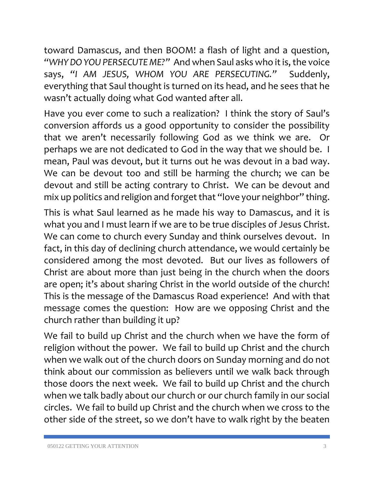toward Damascus, and then BOOM! a flash of light and a question, *"WHY DO YOU PERSECUTE ME?"* And when Saul asks who it is, the voice says, *"I AM JESUS, WHOM YOU ARE PERSECUTING."* Suddenly, everything that Saul thought is turned on its head, and he sees that he wasn't actually doing what God wanted after all.

Have you ever come to such a realization? I think the story of Saul's conversion affords us a good opportunity to consider the possibility that we aren't necessarily following God as we think we are. Or perhaps we are not dedicated to God in the way that we should be. I mean, Paul was devout, but it turns out he was devout in a bad way. We can be devout too and still be harming the church; we can be devout and still be acting contrary to Christ. We can be devout and mix up politics and religion and forget that "love your neighbor" thing.

This is what Saul learned as he made his way to Damascus, and it is what you and I must learn if we are to be true disciples of Jesus Christ. We can come to church every Sunday and think ourselves devout. In fact, in this day of declining church attendance, we would certainly be considered among the most devoted. But our lives as followers of Christ are about more than just being in the church when the doors are open; it's about sharing Christ in the world outside of the church! This is the message of the Damascus Road experience! And with that message comes the question: How are we opposing Christ and the church rather than building it up?

We fail to build up Christ and the church when we have the form of religion without the power. We fail to build up Christ and the church when we walk out of the church doors on Sunday morning and do not think about our commission as believers until we walk back through those doors the next week. We fail to build up Christ and the church when we talk badly about our church or our church family in our social circles. We fail to build up Christ and the church when we cross to the other side of the street, so we don't have to walk right by the beaten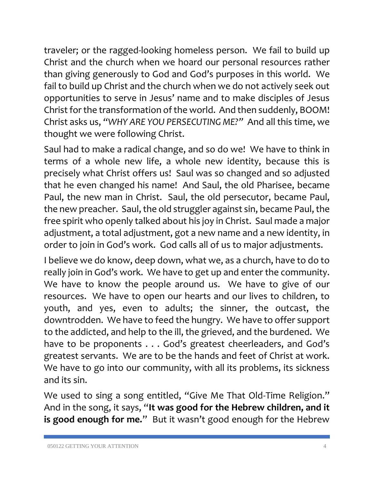traveler; or the ragged-looking homeless person. We fail to build up Christ and the church when we hoard our personal resources rather than giving generously to God and God's purposes in this world. We fail to build up Christ and the church when we do not actively seek out opportunities to serve in Jesus' name and to make disciples of Jesus Christ for the transformation of the world. And then suddenly, BOOM! Christ asks us, *"WHY ARE YOU PERSECUTING ME?"* And all this time, we thought we were following Christ.

Saul had to make a radical change, and so do we! We have to think in terms of a whole new life, a whole new identity, because this is precisely what Christ offers us! Saul was so changed and so adjusted that he even changed his name! And Saul, the old Pharisee, became Paul, the new man in Christ. Saul, the old persecutor, became Paul, the new preacher. Saul, the old struggler against sin, became Paul, the free spirit who openly talked about his joy in Christ. Saul made a major adjustment, a total adjustment, got a new name and a new identity, in order to join in God's work. God calls all of us to major adjustments.

I believe we do know, deep down, what we, as a church, have to do to really join in God's work. We have to get up and enter the community. We have to know the people around us. We have to give of our resources. We have to open our hearts and our lives to children, to youth, and yes, even to adults; the sinner, the outcast, the downtrodden. We have to feed the hungry. We have to offer support to the addicted, and help to the ill, the grieved, and the burdened. We have to be proponents . . . God's greatest cheerleaders, and God's greatest servants. We are to be the hands and feet of Christ at work. We have to go into our community, with all its problems, its sickness and its sin.

We used to sing a song entitled, "Give Me That Old-Time Religion." And in the song, it says, "**It was good for the Hebrew children, and it is good enough for me."** But it wasn't good enough for the Hebrew